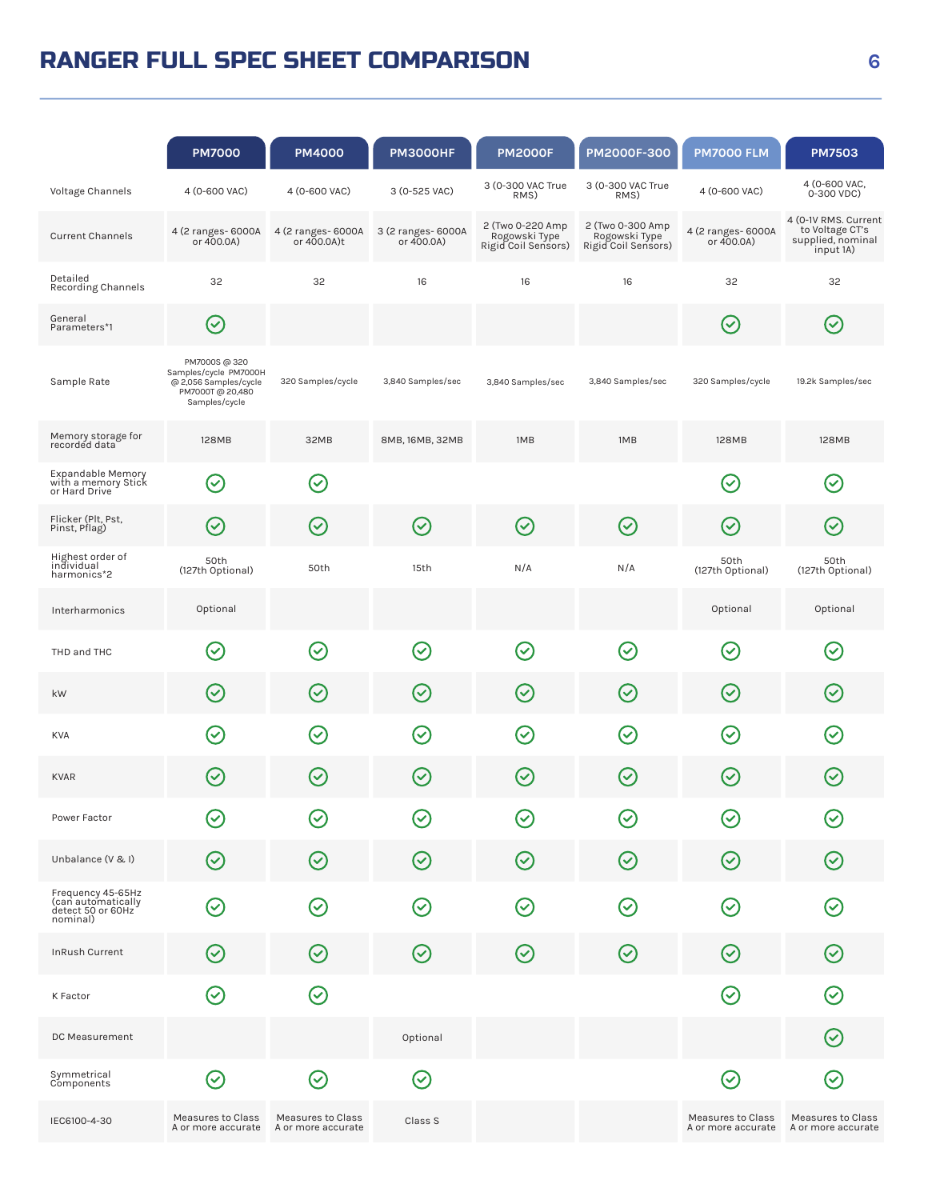## RANGER FULL SPEC SHEET COMPARISON

|                                                                          | <b>PM7000</b>                                                                                        | <b>PM4000</b>                                          | <b>PM3000HF</b>                  | <b>PM2000F</b>                                           | PM2000F-300                                              | <b>PM7000 FLM</b>                                                                        | <b>PM7503</b>                                                             |
|--------------------------------------------------------------------------|------------------------------------------------------------------------------------------------------|--------------------------------------------------------|----------------------------------|----------------------------------------------------------|----------------------------------------------------------|------------------------------------------------------------------------------------------|---------------------------------------------------------------------------|
| Voltage Channels                                                         | 4 (0-600 VAC)                                                                                        | 4 (0-600 VAC)                                          | 3 (0-525 VAC)                    | 3 (0-300 VAC True<br>RMS)                                | 3 (0-300 VAC True<br>RMS)                                | 4 (0-600 VAC)                                                                            | 4 (0-600 VAC,<br>0-300 VDC)                                               |
| <b>Current Channels</b>                                                  | 4 (2 ranges- 6000A<br>or 400.0A)                                                                     | 4 (2 ranges- 6000A<br>or 400.0A)t                      | 3 (2 ranges- 6000A<br>or 400.0A) | 2 (Two 0-220 Amp<br>Rogowski Type<br>Rigid Coil Sensors) | 2 (Two 0-300 Amp<br>Rogowski Type<br>Rigid Coil Sensors) | 4 (2 ranges- 6000A<br>or 400.0A)                                                         | 4 (0-1V RMS. Current<br>to Voltage CT's<br>supplied, nominal<br>input 1A) |
| Detailed<br><b>Recording Channels</b>                                    | 32                                                                                                   | 32                                                     | 16                               | 16                                                       | 16                                                       | 32                                                                                       | 32                                                                        |
| General<br>Parameters*1                                                  | $(\!\vee\!)$                                                                                         |                                                        |                                  |                                                          |                                                          | $(\!\vee\!)$                                                                             | $(\!\vee\!)$                                                              |
| Sample Rate                                                              | PM7000S @ 320<br>Samples/cycle PM7000H<br>@ 2,056 Samples/cycle<br>PM7000T @ 20,480<br>Samples/cycle | 320 Samples/cycle                                      | 3,840 Samples/sec                | 3,840 Samples/sec                                        | 3,840 Samples/sec                                        | 320 Samples/cycle                                                                        | 19.2k Samples/sec                                                         |
| Memory storage for<br>recorded data                                      | 128MB                                                                                                | 32MB                                                   | 8MB, 16MB, 32MB                  | 1MB                                                      | 1MB                                                      | 128MB                                                                                    | 128MB                                                                     |
| Expandable Memory<br>with a memory Stick<br>or Hard Drive                | $(\!\heartsuit\!)$                                                                                   | $\bm{\mathcal{C}}$                                     |                                  |                                                          |                                                          | $\sim$                                                                                   | $\left(\!\rightthreetimes\!$                                              |
| Flicker (Plt, Pst,<br>Pinst, Pflag)                                      | $(\!\mathcal{S}\!)$                                                                                  | $(\checkmark)$                                         | $\bigcirc$                       | $\left(\!\!\left.\diamond\right)\!\!\right)$             | $\bm{\mathcal{C}}$                                       | $\left(\!\!\left.\!\!\left.\!\!\left.\!\!\left.\right.\!\!\right.\!\!\right.\!\!\right)$ | $\rm (\!\mathcal{S}\!)$                                                   |
| Highest order of<br>individual<br>harmonics*2                            | 50th<br>(127th Optional)                                                                             | 50th                                                   | 15th                             | N/A                                                      | N/A                                                      | 50th<br>(127th Optional)                                                                 | 50th<br>(127th Optional)                                                  |
| Interharmonics                                                           | Optional                                                                                             |                                                        |                                  |                                                          |                                                          | Optional                                                                                 | Optional                                                                  |
| THD and THC                                                              | $\left(\!\!\left.\!\!\left.\!\!\left.\!\!\left.\right.\!\!\right.\!\!\right.\!\!\right)$             | $(\checkmark)$                                         | $(\!\mathcal{S}\!)$              | $\bm{\mathcal{C}}$                                       | $\bm{\mathcal{C}}$                                       | $\rm (\!\mathcal{S}\!)$                                                                  | $\left(\!\mathcal{S}\right)$                                              |
| kW                                                                       | $(\!\mathcal{S}\!)$                                                                                  | $(\!\mathcal{S}\!)$                                    | $(\!\mathcal{S}\!)$              | $\odot$                                                  | $(\!\mathcal{S}\!)$                                      | $\left( \!\! \sqrt{2}\right)$                                                            | $(\checkmark)$                                                            |
| <b>KVA</b>                                                               | $\left(\checkmark\right)$                                                                            | $\blacktriangledown$                                   | $(\checkmark)$                   | $(\checkmark)$                                           | $\sim$                                                   | $\sim$                                                                                   | $\blacktriangledown$                                                      |
| <b>KVAR</b>                                                              | $(\checkmark)$                                                                                       | $(\checkmark)$                                         | $\left(\!\mathsf{v}\right)$      | $(\checkmark)$                                           | $(\checkmark)$                                           | $(\checkmark)$                                                                           | $(\checkmark)$                                                            |
| Power Factor                                                             | $\small \textcircled{\ensuremath{\mathcal{C}}}\xspace$                                               | V                                                      | $\blacktriangledown$             | $\left(\!\mathcal{S}\right)$                             | $\blacktriangledown$                                     | $\rm (\sim$                                                                              | $\sim$                                                                    |
| Unbalance (V & I)                                                        | $(\!\mathsf{\downarrow}\!)$                                                                          | $(\checkmark)$                                         | $(\!\vee\!)$                     | $(\!\mathsf{v}\!)$                                       | $(\!\mathcal{S}\!)$                                      | $(\!\vee\!)$                                                                             | $(\checkmark)$                                                            |
| Frequency 45-65Hz<br>(can automatically<br>detect 50 or 60Hz<br>nominal) | $(\!\mathsf{v}\!)$                                                                                   | $(\checkmark)$                                         | $(\!\mathcal{S}\!)$              | $(\!\mathsf{v}\!)$                                       | $(\checkmark)$                                           | $\left(\!\vee\!\right)$                                                                  | $(\checkmark)$                                                            |
| InRush Current                                                           | $(\!\vee\!)$                                                                                         | $(\checkmark)$                                         | $\odot$                          | $(\!\mathcal{S}\!)$                                      | $(\!\mathcal{S}\!)$                                      | $(\!\vee\!)$                                                                             | $\left( \!\! \heartsuit \!\! \right)$                                     |
| K Factor                                                                 | $\odot$                                                                                              | $\odot$                                                |                                  |                                                          |                                                          | $\left(\!\vee\!\right)$                                                                  | $\odot$                                                                   |
| DC Measurement                                                           |                                                                                                      |                                                        | Optional                         |                                                          |                                                          |                                                                                          | $(\!\mathcal{S}\!)$                                                       |
| Symmetrical<br>Components                                                | $\odot$                                                                                              | $\small \textcircled{\ensuremath{\mathcal{C}}}\xspace$ | $(\!\vee\!)$                     |                                                          |                                                          | $\left(\!\!\left.\!\!\left.\!\!\left.\!\!\left.\right.\!\!\right.\!\!\right.\!\!\right)$ | $\left(\!\rightthreetimes\!$                                              |
| IEC6100-4-30                                                             | Measures to Class<br>A or more accurate                                                              | Measures to Class<br>A or more accurate                | Class S                          |                                                          |                                                          | Measures to Class<br>A or more accurate                                                  | Measures to Class<br>A or more accurate                                   |